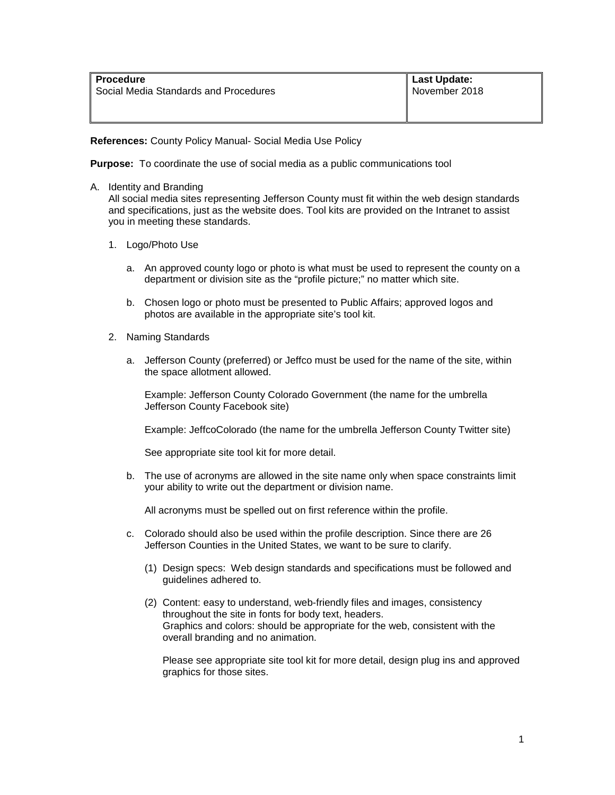**References:** County Policy Manual- Social Media Use Policy

**Purpose:** To coordinate the use of social media as a public communications tool

A. Identity and Branding

All social media sites representing Jefferson County must fit within the web design standards and specifications, just as the website does. Tool kits are provided on the Intranet to assist you in meeting these standards.

- 1. Logo/Photo Use
	- a. An approved county logo or photo is what must be used to represent the county on a department or division site as the "profile picture;" no matter which site.
	- b. Chosen logo or photo must be presented to Public Affairs; approved logos and photos are available in the appropriate site's tool kit.
- 2. Naming Standards
	- a. Jefferson County (preferred) or Jeffco must be used for the name of the site, within the space allotment allowed.

Example: Jefferson County Colorado Government (the name for the umbrella Jefferson County Facebook site)

Example: JeffcoColorado (the name for the umbrella Jefferson County Twitter site)

See appropriate site tool kit for more detail.

b. The use of acronyms are allowed in the site name only when space constraints limit your ability to write out the department or division name.

All acronyms must be spelled out on first reference within the profile.

- c. Colorado should also be used within the profile description. Since there are 26 Jefferson Counties in the United States, we want to be sure to clarify.
	- (1) Design specs: Web design standards and specifications must be followed and guidelines adhered to.
	- (2) Content: easy to understand, web-friendly files and images, consistency throughout the site in fonts for body text, headers. Graphics and colors: should be appropriate for the web, consistent with the overall branding and no animation.

Please see appropriate site tool kit for more detail, design plug ins and approved graphics for those sites.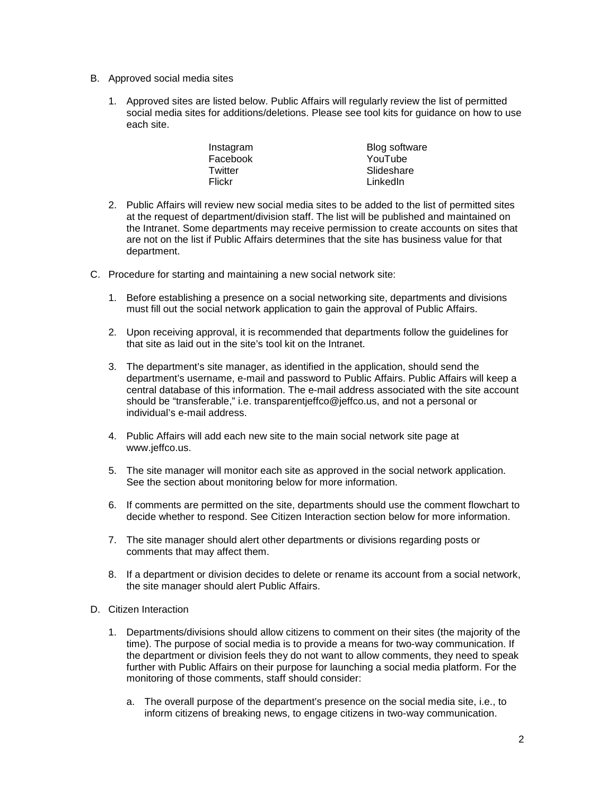- B. Approved social media sites
	- 1. Approved sites are listed below. Public Affairs will regularly review the list of permitted social media sites for additions/deletions. Please see tool kits for guidance on how to use each site.

| Instagram | Blog software |
|-----------|---------------|
| Facebook  | YouTube       |
| Twitter   | Slideshare    |
| Flickr    | LinkedIn      |

- 2. Public Affairs will review new social media sites to be added to the list of permitted sites at the request of department/division staff. The list will be published and maintained on the Intranet. Some departments may receive permission to create accounts on sites that are not on the list if Public Affairs determines that the site has business value for that department.
- C. Procedure for starting and maintaining a new social network site:
	- 1. Before establishing a presence on a social networking site, departments and divisions must fill out the social network application to gain the approval of Public Affairs.
	- 2. Upon receiving approval, it is recommended that departments follow the guidelines for that site as laid out in the site's tool kit on the Intranet.
	- 3. The department's site manager, as identified in the application, should send the department's username, e-mail and password to Public Affairs. Public Affairs will keep a central database of this information. The e-mail address associated with the site account should be "transferable," i.e. transparentjeffco@jeffco.us, and not a personal or individual's e-mail address.
	- 4. Public Affairs will add each new site to the main social network site page at www.jeffco.us.
	- 5. The site manager will monitor each site as approved in the social network application. See the section about monitoring below for more information.
	- 6. If comments are permitted on the site, departments should use the comment flowchart to decide whether to respond. See Citizen Interaction section below for more information.
	- 7. The site manager should alert other departments or divisions regarding posts or comments that may affect them.
	- 8. If a department or division decides to delete or rename its account from a social network, the site manager should alert Public Affairs.
- D. Citizen Interaction
	- 1. Departments/divisions should allow citizens to comment on their sites (the majority of the time). The purpose of social media is to provide a means for two-way communication. If the department or division feels they do not want to allow comments, they need to speak further with Public Affairs on their purpose for launching a social media platform. For the monitoring of those comments, staff should consider:
		- a. The overall purpose of the department's presence on the social media site, i.e., to inform citizens of breaking news, to engage citizens in two-way communication.